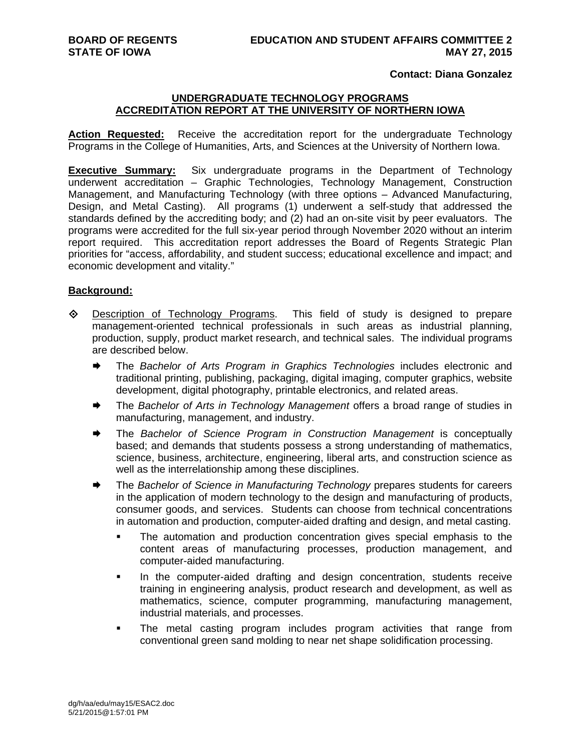## **Contact: Diana Gonzalez**

## **UNDERGRADUATE TECHNOLOGY PROGRAMS ACCREDITATION REPORT AT THE UNIVERSITY OF NORTHERN IOWA**

Action Requested: Receive the accreditation report for the undergraduate Technology Programs in the College of Humanities, Arts, and Sciences at the University of Northern Iowa.

**Executive Summary:** Six undergraduate programs in the Department of Technology underwent accreditation – Graphic Technologies, Technology Management, Construction Management, and Manufacturing Technology (with three options – Advanced Manufacturing, Design, and Metal Casting). All programs (1) underwent a self-study that addressed the standards defined by the accrediting body; and (2) had an on-site visit by peer evaluators. The programs were accredited for the full six-year period through November 2020 without an interim report required. This accreditation report addresses the Board of Regents Strategic Plan priorities for "access, affordability, and student success; educational excellence and impact; and economic development and vitality."

## **Background:**

- $\Diamond$  Description of Technology Programs. This field of study is designed to prepare management-oriented technical professionals in such areas as industrial planning, production, supply, product market research, and technical sales. The individual programs are described below.
	- The *Bachelor of Arts Program in Graphics Technologies* includes electronic and traditional printing, publishing, packaging, digital imaging, computer graphics, website development, digital photography, printable electronics, and related areas.
	- The *Bachelor of Arts in Technology Management* offers a broad range of studies in manufacturing, management, and industry.
	- The *Bachelor of Science Program in Construction Management* is conceptually based; and demands that students possess a strong understanding of mathematics, science, business, architecture, engineering, liberal arts, and construction science as well as the interrelationship among these disciplines.
	- **★** The *Bachelor of Science in Manufacturing Technology* prepares students for careers in the application of modern technology to the design and manufacturing of products, consumer goods, and services. Students can choose from technical concentrations in automation and production, computer-aided drafting and design, and metal casting.
		- The automation and production concentration gives special emphasis to the content areas of manufacturing processes, production management, and computer-aided manufacturing.
		- **In the computer-aided drafting and design concentration, students receive** training in engineering analysis, product research and development, as well as mathematics, science, computer programming, manufacturing management, industrial materials, and processes.
		- The metal casting program includes program activities that range from conventional green sand molding to near net shape solidification processing.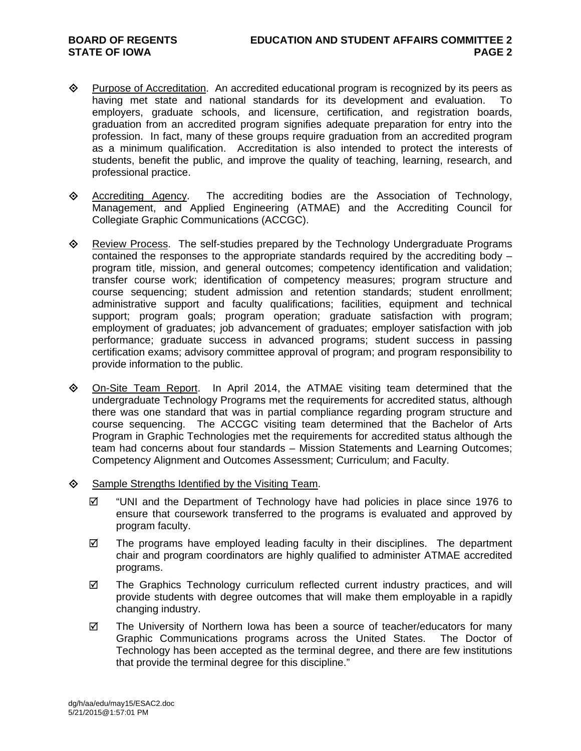- $\Diamond$  Purpose of Accreditation. An accredited educational program is recognized by its peers as having met state and national standards for its development and evaluation. To employers, graduate schools, and licensure, certification, and registration boards, graduation from an accredited program signifies adequate preparation for entry into the profession. In fact, many of these groups require graduation from an accredited program as a minimum qualification. Accreditation is also intended to protect the interests of students, benefit the public, and improve the quality of teaching, learning, research, and professional practice.
- Accrediting Agency. The accrediting bodies are the Association of Technology, Management, and Applied Engineering (ATMAE) and the Accrediting Council for Collegiate Graphic Communications (ACCGC).
- $\diamond$  Review Process. The self-studies prepared by the Technology Undergraduate Programs contained the responses to the appropriate standards required by the accrediting body – program title, mission, and general outcomes; competency identification and validation; transfer course work; identification of competency measures; program structure and course sequencing; student admission and retention standards; student enrollment; administrative support and faculty qualifications; facilities, equipment and technical support; program goals; program operation; graduate satisfaction with program; employment of graduates; job advancement of graduates; employer satisfaction with job performance; graduate success in advanced programs; student success in passing certification exams; advisory committee approval of program; and program responsibility to provide information to the public.
- $\Diamond$  On-Site Team Report. In April 2014, the ATMAE visiting team determined that the undergraduate Technology Programs met the requirements for accredited status, although there was one standard that was in partial compliance regarding program structure and course sequencing. The ACCGC visiting team determined that the Bachelor of Arts Program in Graphic Technologies met the requirements for accredited status although the team had concerns about four standards – Mission Statements and Learning Outcomes; Competency Alignment and Outcomes Assessment; Curriculum; and Faculty.
- $\diamond$  Sample Strengths Identified by the Visiting Team.
	- $\boxtimes$  "UNI and the Department of Technology have had policies in place since 1976 to ensure that coursework transferred to the programs is evaluated and approved by program faculty.
	- $\boxtimes$  The programs have employed leading faculty in their disciplines. The department chair and program coordinators are highly qualified to administer ATMAE accredited programs.
	- $\boxtimes$  The Graphics Technology curriculum reflected current industry practices, and will provide students with degree outcomes that will make them employable in a rapidly changing industry.
	- $\boxtimes$  The University of Northern Iowa has been a source of teacher/educators for many Graphic Communications programs across the United States. The Doctor of Technology has been accepted as the terminal degree, and there are few institutions that provide the terminal degree for this discipline."